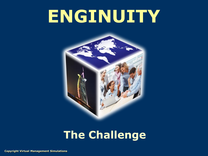# **ENGINUITY**



# **The Challenge**

**Copyright Virtual Management Simulations**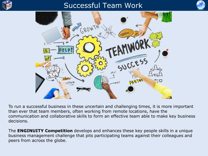

# Successful Team Work





To run a successful business in these uncertain and challenging times, it is more important than ever that team members, often working from remote locations, have the communication and collaborative skills to form an effective team able to make key business decisions.

The **ENGINUITY Competition** develops and enhances these key people skills in a unique business management challenge that pits participating teams against their colleagues and peers from across the globe.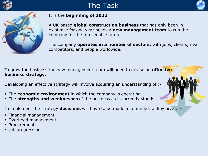

# The Task





### It is the **beginning of 2022**.

A UK-based **global construction business** that has only been in existence for one year needs a **new management team** to run the company for the foreseeable future.

The company **operates in a number of sectors**, with jobs, clients, rival competitors, and people worldwide.

To grow the business the new management team will need to devise an **effective business strategy**.

Developing an effective strategy will involve acquiring an understanding of :-

- The **economic environment** in which the company is operating
- The **strengths and weaknesses** of the business as it currently stands

To implement the strategy **decisions** will have to be made in a number of key areas :-

- Financial management
- Overhead management
- **Procurement**
- Job progression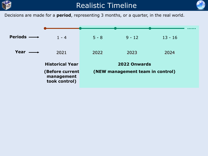

## Realistic Timeline



Decisions are made for a **period**, representing 3 months, or a quarter, in the real world.

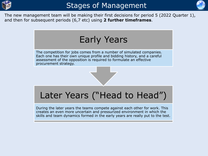



The new management team will be making their first decisions for period 5 (2022 Quarter 1), and then for subsequent periods (6,7 etc) using **2 further timeframes**.

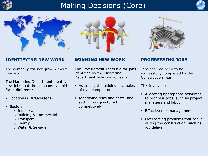

# Making Decisions (Core)









### **IDENTIFYING NEW WORK**

The company will not grow without new work.

The Marketing Department identify new jobs that the company can bid for in different :-

- **Locations (UK/Overseas)**
- **Sectors** 
	- o Industrial
	- o Building & Commercial
	- o Transport
	- o Energy
	- o Water & Sewage

### **WINNING NEW WORK**

The Procurement Team bid for jobs identified by the Marketing Department, which involves :-

- Assessing the bidding strategies of rival competitors
- Identifying risks and costs, and setting margins to bid competitively

### **PROGRESSING JOBS**

Jobs secured need to be successfully completed by the Construction Team.

This involves :-

- Allocating appropriate resources to progress jobs, such as project managers and labour
- **Effective risk management**
- Overcoming problems that occur during the construction, such as job delays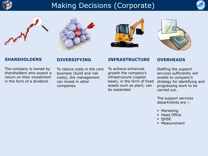

# Making Decisions (Corporate)











### **SHAREHOLDERS**

The company is owned by shareholders who expect a return on their investment in the form of a dividend.

### **DIVERSIFYING**

To reduce costs in the core business (build and risk costs), the management can invest in other companies.

### **INFRASTRUCTURE**

To achieve enhanced growth the company's infrastructure (capital base), in the form of fixed assets such as plant, can be expanded.

### **OVERHEADS**

Staffing the support services sufficiently will enable to company's strategy for identifying and progressing work to be carried out.

The support services departments are :-

- Marketing
- Head Office
- **QHSE**
- Measurement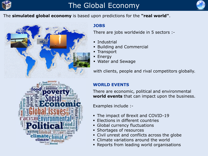

# The Global Economy



The **simulated global economy** is based upon predictions for the **"real world"**.



### **JOBS**

There are jobs worldwide in 5 sectors :-

- Industrial
- Building and Commercial
- **Transport**
- **Energy**
- Water and Sewage

with clients, people and rival competitors globally.

### **WORLD EVENTS**

There are economic, political and environmental **world events** that can impact upon the business.

Examples include :-

- The impact of Brexit and COVID-19
- Elections in different countries
- Global currency fluctuations
- Shortages of resources
- Civil unrest and conflicts across the globe
- Climate variations around the world
- Reports from leading world organisations

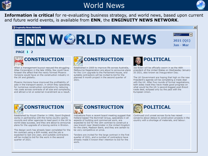

# World News



 $\vert x \vert$ 

 $\overline{\phantom{0}}$ 

Period<sub>1</sub>

2021 (01) Jan - Mar

**Information is critical** for re-evaluating business strategy, and world news, based upon current and future world events, is available from **ENN**, the **ENGINUITY NEWS NETWORK**.

#### | 18 Enginuity News Network

# **ENN WGRLD NEWS**

#### PAGE 1 2



When a management buyout rescued the struggling Atlas Corporation in the late 1990s, few could have forseen the affect that the newly formed Phoenix Horizons would have on the construction industry in the UK and globally.

Phoenix Horizons have improved the profitability of jobs in the transport sector, in which they specialise, for numerous construction contractors by reducing risk costs across contracts of all size and complexity. and attract a lot on external inverstment as a result.



Established in 2005 to improve life across Australia. Melbourne Regeneration are about to announce plans for the 11m upgrade to the Parliament House, and suitable contractors will be invited to bid for the planned 9 month project in the second quarter of 2021.



Joe Biden will be officially sworn in as the 46th president of the United States on Wednesday January 20 2021, also known as Inauguration Day.

The UK Government are hoping that high on the new President's agenda will be completing a trade deal with the UK. After five rounds of formal negotiations, both sides insist they have made good progress on what would be the UK.'s second-biggest post-Brexit trade deal, eclipsed only by the pact with the European Union.



Established by Royal Charter in 1996, Sport England works in partnership with the home country sports councils and other agencies to lead sport in the UK to world-class success, and they are about to announce plans for the upgrade of a boxing centre in Brixton.

The design work has already been completed for the 9m contract using a BIM model, and the job is expected to last one year, and suitable contractors will be invited to bid for the work in the second quarter of 2021.

# **Competitive** CONSTRUCTION

Indications from a recent board meeting suggest that Holland based The Bommell Group, specialists in all aspects of building and commerical work, are expected to bid for the 18m contract to construct a new branch near Westminster in the United Kingdom for the client, Madison Bank, and they are certain to be very competitive on price.

Tenders are invited for the large contract in the first quarter of 2021, and a number of contractors have already made it known their intention to bid for the work.



Continued civil unrest across Syria has raised concerns about delays to construction projects in the country with a shortage of materials, and labour.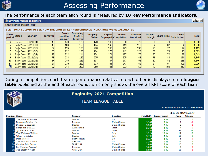

### The performance of each team each round is measured by **10 Key Performance Indicators.**

#### Key Performance Indicators

Show graphical analysis Help

#### CLICK ON A COLUMN TO SEE HOW THE CHOSEN KEY PERFORMANCE INDICATORS WERE CALCULATED

|    | End of<br>period<br>Status | Year/gtr    | Turnover | Gross<br>profit to<br>Turnover | Operating<br>Profit to<br><b>Turnover</b> | <b>Company</b><br><b>Value</b> | Capital          | Contract<br><b>Employed Completion</b> | Forward<br><b>Workload</b> | <b>Forward</b><br><b>Margin</b> | Share Price | <b>Client</b><br><b>Satisfaction</b> | <b>Total</b> |
|----|----------------------------|-------------|----------|--------------------------------|-------------------------------------------|--------------------------------|------------------|----------------------------------------|----------------------------|---------------------------------|-------------|--------------------------------------|--------------|
|    | <b>History</b>             | 2020(Q4)    | 40       | 170                            | 120                                       | 170                            | 130 <sub>1</sub> | 80                                     | 70                         | 100                             | 701         | 50                                   | 1.000        |
|    | Early Years                | 2021 (Q1)   | 49       | 186                            | 153                                       | 184                            | 149              | 113                                    | 118                        | 162                             | 82          | 84                                   | 1,280        |
|    | Early Years                | [2021 (Q2)] | 57       | 195                            | 169                                       | 200                            | 163              | 129                                    | 130                        | 179                             | 771         | 114                                  | 1,413        |
|    | Early Years                | 2021 (Q3)   | 66       | 212                            | 195                                       | 224                            | 173              | 142                                    | 126                        | 167                             | 79          | 145                                  | 1,529        |
| 8. | Early Years                | 2021 (Q4)   | 76       | 222                            | 214                                       | 254                            | 174              | 177                                    | 77                         | 97                              | 72          | 186                                  | 1,549        |
| Q. | Early Years                | 2022 (Q1)   | 78       | 238                            | 222                                       | 275                            | 181              | 205                                    | 163                        | 178                             | 84          | 221                                  | 1,845        |
| 10 | Early Years                | 2022 (Q2)   | 84       | 245                            | 235                                       | 307                            | 187              | 217                                    | 156                        | 167                             | 82          | 266                                  | 1,946        |
|    | Early Years                | 2022 (Q3)   | 91       | 239                            | 230                                       | 333                            | 191              | 247                                    | 153                        | 161                             | 81          | 309                                  | 2,035        |
|    | Early Years                | 2022 (Q4)   | 97       | 244                            | 239                                       | 359                            | 195)             | 283                                    | 169                        | 173                             | 104         | 359                                  | 2,222        |
|    |                            |             |          |                                |                                           |                                |                  |                                        |                            |                                 |             |                                      |              |

During a competition, each team's performance relative to each other is displayed on a **league table** published at the end of each round, which only shows the overall KPI score of each team.



### **Enginuity 2021 Competition**

### **TEAM LEAGUE TABLE**

At the end of period 12 (Early Years) DE RIOD MOVEMENT

 $\Box$ o $\Box$ 

|                      |                          |                |                      |                  | <u>TEROD MOTEMENT</u> |             |        |  |
|----------------------|--------------------------|----------------|----------------------|------------------|-----------------------|-------------|--------|--|
| <b>Position Name</b> |                          | <b>Sponsor</b> | <b>L</b> ocation     | <b>Total KPI</b> | <b>Improvement</b>    | <b>From</b> | Change |  |
|                      | The Tower of Babble      | Jacobs         | UK                   | 2,222            | 9%                    |             |        |  |
|                      | Dogecoin Mining, Inc.    | Parsons        | United States        | 2,209            | 3%                    |             |        |  |
|                      | Diligent Disruption      | Stantec        | <b>United States</b> | 2,205            | 5 %                   |             |        |  |
|                      | Bangalore BULLZ          | Atkins India   | India                | 2,163            | 4%                    |             |        |  |
|                      | Tycoons KATK AL          | Jacobs         | India                | 2,149            | 18 %                  | 39          | 34     |  |
|                      | The Wolves of Milano     | Jacobs         | Italy                | 2,124            | 10 %                  | 19          | 13     |  |
|                      | Whatever it takes        | Stantec        | Italy                | 2,120            | 7%                    | 10          |        |  |
|                      | Dark Horses              | Network Rail   | UK                   | 2,119            | 4 %                   |             |        |  |
|                      | The New AECOMers         | AECOM          | UK                   | 2,108            | 7%                    | 14          |        |  |
|                      | M Choobie Dirt Beans     | WSP USA        | United States        | 2,094            | 7%                    | 15          |        |  |
|                      | II It's Nothing Parsonal | Parsons        | United States        | 2,093            | 0%                    |             |        |  |
|                      | The Trusty Wrench        | WSP U SA       | United States        | 2,093            | 5 %                   |             | - 1    |  |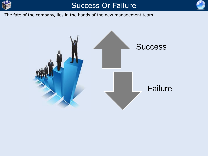

# Success Or Failure



The fate of the company, lies in the hands of the new management team.

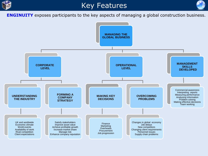

# Key Features



**ENGINUITY** exposes participants to the key aspects of managing a global construction business.